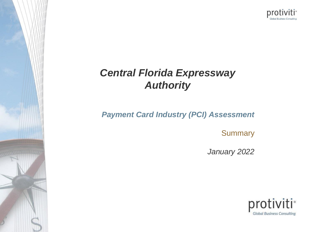

## *Central Florida Expressway Authority*

*Payment Card Industry (PCI) Assessment* 

**Summary** 

*January 2022*

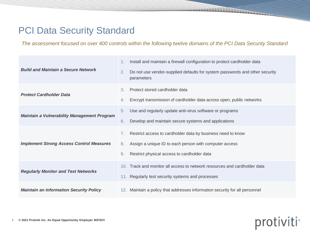### **PCI Data Security Standard**

*The assessment focused on over 400 controls within the following twelve domains of the PCI Data Security Standard*

| <b>Build and Maintain a Secure Network</b>         | Install and maintain a firewall configuration to protect cardholder data<br>1.<br>Do not use vendor-supplied defaults for system passwords and other security<br>2.<br>parameters                                   |
|----------------------------------------------------|---------------------------------------------------------------------------------------------------------------------------------------------------------------------------------------------------------------------|
| <b>Protect Cardholder Data</b>                     | 3.<br>Protect stored cardholder data<br>Encrypt transmission of cardholder data across open, public networks<br>4.                                                                                                  |
| <b>Maintain a Vulnerability Management Program</b> | 5.<br>Use and regularly update anti-virus software or programs<br>Develop and maintain secure systems and applications<br>6.                                                                                        |
| <b>Implement Strong Access Control Measures</b>    | Restrict access to cardholder data by business need to know<br>$7_{\scriptscriptstyle{\star}}$<br>Assign a unique ID to each person with computer access<br>8.<br>9.<br>Restrict physical access to cardholder data |
| <b>Regularly Monitor and Test Networks</b>         | 10. Track and monitor all access to network resources and cardholder data<br>11. Regularly test security systems and processes                                                                                      |
| <b>Maintain an Information Security Policy</b>     | 12. Maintain a policy that addresses information security for all personnel                                                                                                                                         |

# protiviti<sup>®</sup>

**MUNICIPALE**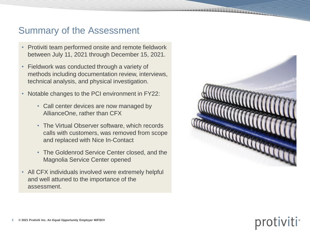### Summary of the Assessment

- Protiviti team performed onsite and remote fieldwork between July 11, 2021 through December 15, 2021.
- Fieldwork was conducted through a variety of methods including documentation review, interviews, technical analysis, and physical investigation.
- Notable changes to the PCI environment in FY22:
	- Call center devices are now managed by AllianceOne, rather than CFX
	- The Virtual Observer software, which records calls with customers, was removed from scope and replaced with Nice In-Contact
	- The Goldenrod Service Center closed, and the Magnolia Service Center opened
- All CFX individuals involved were extremely helpful and well attuned to the importance of the assessment.